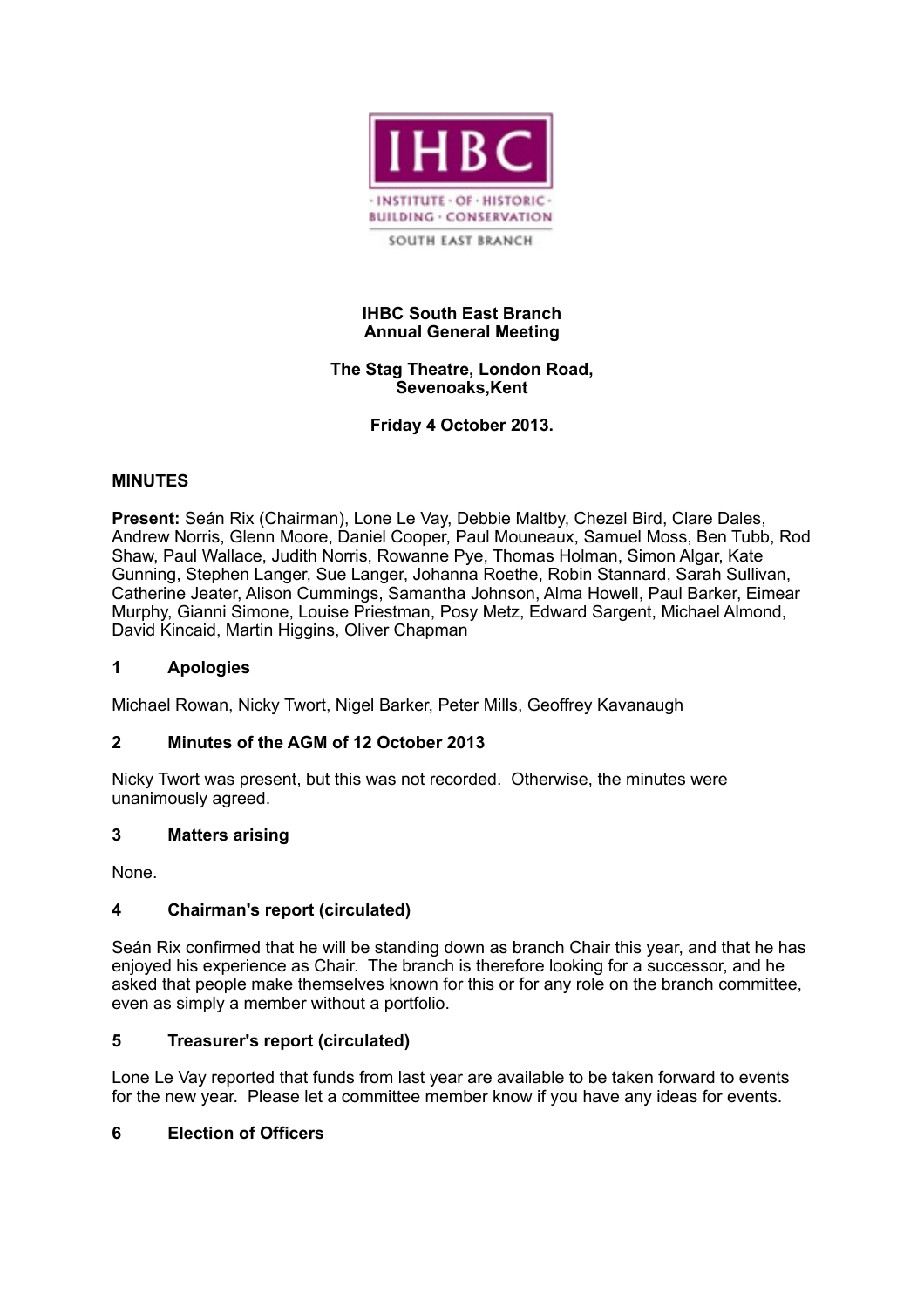

## **IHBC South East Branch Annual General Meeting**

## **The Stag Theatre, London Road, Sevenoaks,Kent**

**Friday 4 October 2013.**

## **MINUTES**

**Present:** Seán Rix (Chairman), Lone Le Vay, Debbie Maltby, Chezel Bird, Clare Dales, Andrew Norris, Glenn Moore, Daniel Cooper, Paul Mouneaux, Samuel Moss, Ben Tubb, Rod Shaw, Paul Wallace, Judith Norris, Rowanne Pye, Thomas Holman, Simon Algar, Kate Gunning, Stephen Langer, Sue Langer, Johanna Roethe, Robin Stannard, Sarah Sullivan, Catherine Jeater, Alison Cummings, Samantha Johnson, Alma Howell, Paul Barker, Eimear Murphy, Gianni Simone, Louise Priestman, Posy Metz, Edward Sargent, Michael Almond, David Kincaid, Martin Higgins, Oliver Chapman

## **1 Apologies**

Michael Rowan, Nicky Twort, Nigel Barker, Peter Mills, Geoffrey Kavanaugh

## **2 Minutes of the AGM of 12 October 2013**

Nicky Twort was present, but this was not recorded. Otherwise, the minutes were unanimously agreed.

## **3 Matters arising**

None.

## **4 Chairman's report (circulated)**

Seán Rix confirmed that he will be standing down as branch Chair this year, and that he has enjoyed his experience as Chair. The branch is therefore looking for a successor, and he asked that people make themselves known for this or for any role on the branch committee, even as simply a member without a portfolio.

## **5 Treasurer's report (circulated)**

Lone Le Vay reported that funds from last year are available to be taken forward to events for the new year. Please let a committee member know if you have any ideas for events.

## **6 Election of Officers**